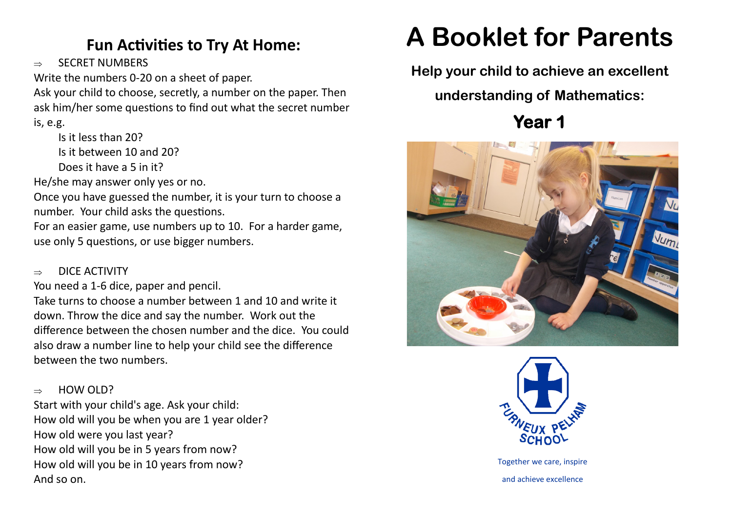# **Fun Activities to Try At Home:**

 $\rightarrow$  SECRET NUMBERS

Write the numbers 0-20 on a sheet of paper.

Ask your child to choose, secretly, a number on the paper. Then ask him/her some questions to find out what the secret number is, e.g.

Is it less than 20? Is it between 10 and 20? Does it have a 5 in it?

He/she may answer only yes or no.

Once you have guessed the number, it is your turn to choose a number. Your child asks the questions.

For an easier game, use numbers up to 10. For a harder game, use only 5 questions, or use bigger numbers.

#### $\Rightarrow$  DICE ACTIVITY

You need a 1-6 dice, paper and pencil.

Take turns to choose a number between 1 and 10 and write it down. Throw the dice and say the number. Work out the difference between the chosen number and the dice. You could also draw a number line to help your child see the difference between the two numbers.

### $\Rightarrow$  HOW OLD?

Start with your child's age. Ask your child: How old will you be when you are 1 year older? How old were you last year? How old will you be in 5 years from now? How old will you be in 10 years from now? And so on.

# **A Booklet for Parents**

**Help your child to achieve an excellent** 

# **understanding of Mathematics:**

**Year 1** 





Together we care, inspire and achieve excellence